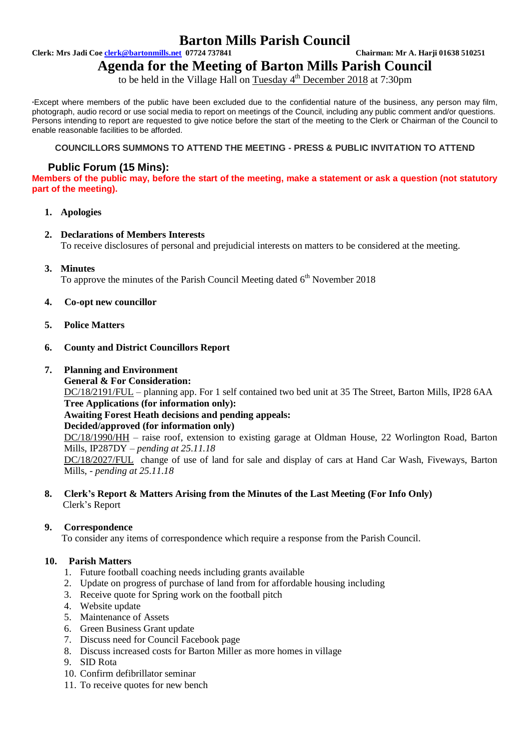## **Barton Mills Parish Council**

**Clerk: Mrs Jadi Coe clerk@bartonmills.net 07724 737841 Chairman: Mr A. Harji 01638 510251**

# **Agenda for the Meeting of Barton Mills Parish Council**

to be held in the Village Hall on Tuesday 4<sup>th</sup> December 2018 at 7:30pm

\*Except where members of the public have been excluded due to the confidential nature of the business, any person may film, photograph, audio record or use social media to report on meetings of the Council, including any public comment and/or questions. Persons intending to report are requested to give notice before the start of the meeting to the Clerk or Chairman of the Council to enable reasonable facilities to be afforded.

#### **COUNCILLORS SUMMONS TO ATTEND THE MEETING - PRESS & PUBLIC INVITATION TO ATTEND**

### **Public Forum (15 Mins):**

**Members of the public may, before the start of the meeting, make a statement or ask a question (not statutory part of the meeting).**

#### **1. Apologies**

## **2. Declarations of Members Interests**

To receive disclosures of personal and prejudicial interests on matters to be considered at the meeting.

**3. Minutes**

To approve the minutes of the Parish Council Meeting dated 6<sup>th</sup> November 2018

- **4. Co-opt new councillor**
- **5. Police Matters**
- **6. County and District Councillors Report**
- **7. Planning and Environment**
	- **General & For Consideration:**

DC/18/2191/FUL – planning app. For 1 self contained two bed unit at 35 The Street, Barton Mills, IP28 6AA **Tree Applications (for information only):**

#### **Awaiting Forest Heath decisions and pending appeals:**

**Decided/approved (for information only)**

DC/18/1990/HH – raise roof, extension to existing garage at Oldman House, 22 Worlington Road, Barton Mills, IP287DY – *pending at 25.11.18*

DC/18/2027/FUL change of use of land for sale and display of cars at Hand Car Wash, Fiveways, Barton Mills, - *pending at 25.11.18*

**8. Clerk's Report & Matters Arising from the Minutes of the Last Meeting (For Info Only)** Clerk's Report

#### **9. Correspondence**

To consider any items of correspondence which require a response from the Parish Council.

#### **10. Parish Matters**

- 1. Future football coaching needs including grants available
- 2. Update on progress of purchase of land from for affordable housing including
- 3. Receive quote for Spring work on the football pitch
- 4. Website update
- 5. Maintenance of Assets
- 6. Green Business Grant update
- 7. Discuss need for Council Facebook page
- 8. Discuss increased costs for Barton Miller as more homes in village
- 9. SID Rota
- 10. Confirm defibrillator seminar
- 11. To receive quotes for new bench